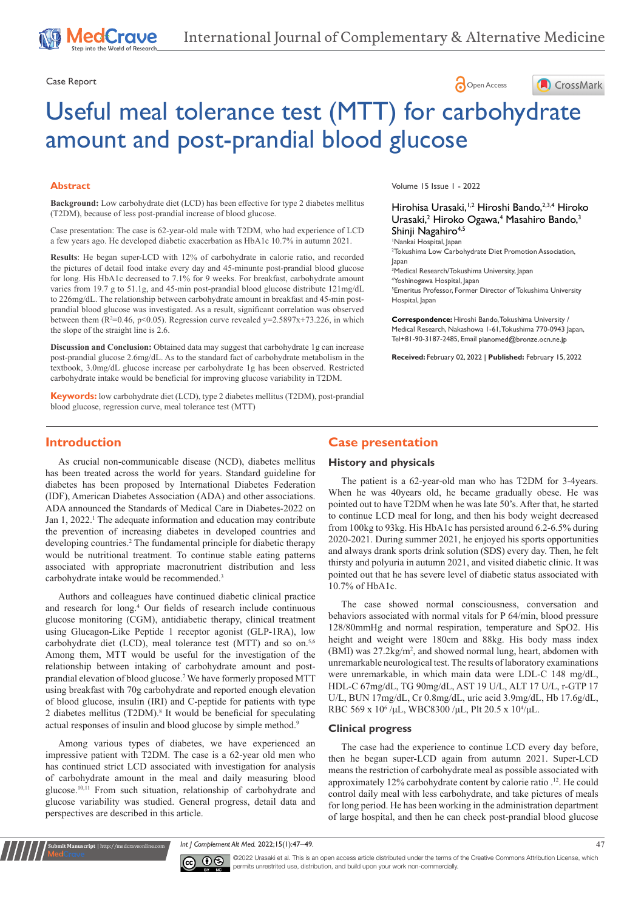# Case Report **Case Report**



# Useful meal tolerance test (MTT) for carbohydrate amount and post-prandial blood glucose

#### **Abstract**

**Background:** Low carbohydrate diet (LCD) has been effective for type 2 diabetes mellitus (T2DM), because of less post-prandial increase of blood glucose.

Case presentation: The case is 62-year-old male with T2DM, who had experience of LCD a few years ago. He developed diabetic exacerbation as HbA1c 10.7% in autumn 2021.

**Results**: He began super-LCD with 12% of carbohydrate in calorie ratio, and recorded the pictures of detail food intake every day and 45-minunte post-prandial blood glucose for long. His HbA1c decreased to 7.1% for 9 weeks. For breakfast, carbohydrate amount varies from 19.7 g to 51.1g, and 45-min post-prandial blood glucose distribute 121mg/dL to 226mg/dL. The relationship between carbohydrate amount in breakfast and 45-min postprandial blood glucose was investigated. As a result, significant correlation was observed between them ( $R^2=0.46$ ,  $p<0.05$ ). Regression curve revealed  $y=2.5897x+73.226$ , in which the slope of the straight line is 2.6.

**Discussion and Conclusion:** Obtained data may suggest that carbohydrate 1g can increase post-prandial glucose 2.6mg/dL. As to the standard fact of carbohydrate metabolism in the textbook, 3.0mg/dL glucose increase per carbohydrate 1g has been observed. Restricted carbohydrate intake would be beneficial for improving glucose variability in T2DM.

**Keywords:** low carbohydrate diet (LCD), type 2 diabetes mellitus (T2DM), post-prandial blood glucose, regression curve, meal tolerance test (MTT)

Volume 15 Issue 1 - 2022

## Hirohisa Urasaki,<sup>1,2</sup> Hiroshi Bando, 2,3,4 Hiroko Urasaki,<sup>2</sup> Hiroko Ogawa,<sup>4</sup> Masahiro Bando,<sup>3</sup> Shinji Nagahiro<sup>4,5</sup>

1 Nankai Hospital, Japan 2 Tokushima Low Carbohydrate Diet Promotion Association, Japan

 Medical Research/Tokushima University, Japan Yoshinogawa Hospital, Japan Emeritus Professor, Former Director of Tokushima University Hospital, Japan

**Correspondence:** Hiroshi Bando, Tokushima University / Medical Research, Nakashowa 1-61, Tokushima 770-0943 Japan, Tel+81-90-3187-2485, Email pianomed@bronze.ocn.ne.jp

**Received:** February 02, 2022 | **Published:** February 15, 2022

## **Introduction**

As crucial non-communicable disease (NCD), diabetes mellitus has been treated across the world for years. Standard guideline for diabetes has been proposed by International Diabetes Federation (IDF), American Diabetes Association (ADA) and other associations. ADA announced the Standards of Medical Care in Diabetes-2022 on Jan 1, 2022.<sup>1</sup> The adequate information and education may contribute the prevention of increasing diabetes in developed countries and developing countries.<sup>2</sup> The fundamental principle for diabetic therapy would be nutritional treatment. To continue stable eating patterns associated with appropriate macronutrient distribution and less carbohydrate intake would be recommended.3

Authors and colleagues have continued diabetic clinical practice and research for long.4 Our fields of research include continuous glucose monitoring (CGM), antidiabetic therapy, clinical treatment using Glucagon-Like Peptide 1 receptor agonist (GLP-1RA), low carbohydrate diet (LCD), meal tolerance test (MTT) and so on.<sup>5,6</sup> Among them, MTT would be useful for the investigation of the relationship between intaking of carbohydrate amount and postprandial elevation of blood glucose.7 We have formerly proposed MTT using breakfast with 70g carbohydrate and reported enough elevation of blood glucose, insulin (IRI) and C-peptide for patients with type 2 diabetes mellitus (T2DM).<sup>8</sup> It would be beneficial for speculating actual responses of insulin and blood glucose by simple method.9

Among various types of diabetes, we have experienced an impressive patient with T2DM. The case is a 62-year old men who has continued strict LCD associated with investigation for analysis of carbohydrate amount in the meal and daily measuring blood glucose.10,11 From such situation, relationship of carbohydrate and glucose variability was studied. General progress, detail data and perspectives are described in this article.

**Kubmit Manuscript** | http://medcraveonline.com

# **Case presentation**

#### **History and physicals**

The patient is a 62-year-old man who has T2DM for 3-4years. When he was 40years old, he became gradually obese. He was pointed out to have T2DM when he was late 50's. After that, he started to continue LCD meal for long, and then his body weight decreased from 100kg to 93kg. His HbA1c has persisted around 6.2-6.5% during 2020-2021. During summer 2021, he enjoyed his sports opportunities and always drank sports drink solution (SDS) every day. Then, he felt thirsty and polyuria in autumn 2021, and visited diabetic clinic. It was pointed out that he has severe level of diabetic status associated with 10.7% of HbA1c.

The case showed normal consciousness, conversation and behaviors associated with normal vitals for P 64/min, blood pressure 128/80mmHg and normal respiration, temperature and SpO2. His height and weight were 180cm and 88kg. His body mass index (BMI) was 27.2kg/m<sup>2</sup>, and showed normal lung, heart, abdomen with unremarkable neurological test. The results of laboratory examinations were unremarkable, in which main data were LDL-C 148 mg/dL, HDL-C 67mg/dL, TG 90mg/dL, AST 19 U/L, ALT 17 U/L, r-GTP 17 U/L, BUN 17mg/dL, Cr 0.8mg/dL, uric acid 3.9mg/dL, Hb 17.6g/dL, RBC 569 x 10<sup>6</sup>/μL, WBC8300/μL, Plt 20.5 x 10<sup>4</sup>/μL.

#### **Clinical progress**

The case had the experience to continue LCD every day before, then he began super-LCD again from autumn 2021. Super-LCD means the restriction of carbohydrate meal as possible associated with approximately 12% carbohydrate content by calorie ratio .12. He could control daily meal with less carbohydrate, and take pictures of meals for long period. He has been working in the administration department of large hospital, and then he can check post-prandial blood glucose

*Int | Complement Alt Med.* 2022;15(1):47–49. 47



 $\overline{\text{cc}}$   $\overline{\text{C}}$   $\odot$   $\odot$  2022 Urasaki et al. This is an open access article distributed under the terms of the Creative Commons Attribution License, which permits unrestrited use, distribution, and build upon your work non-commercially.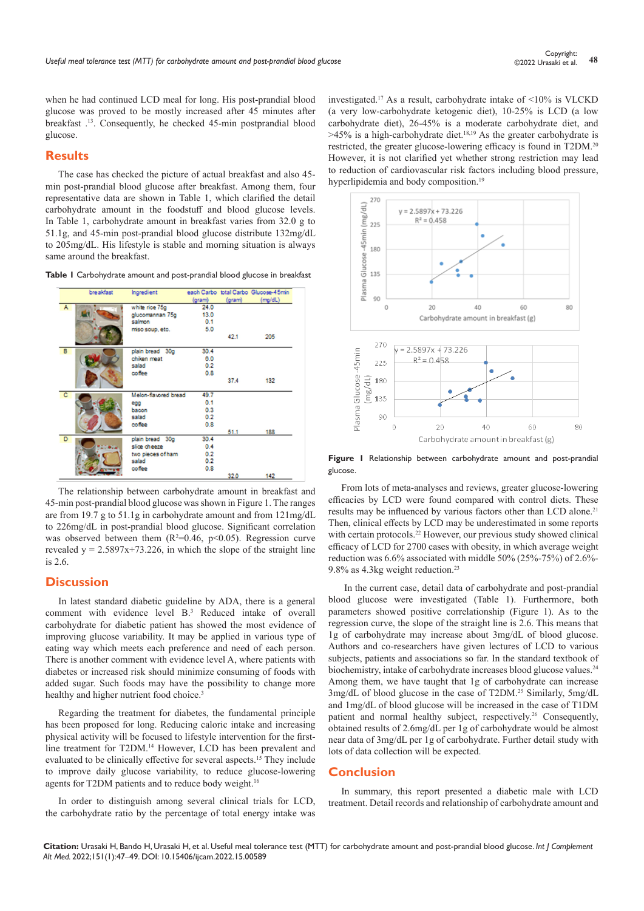when he had continued LCD meal for long. His post-prandial blood glucose was proved to be mostly increased after 45 minutes after breakfast .13. Consequently, he checked 45-min postprandial blood glucose.

#### **Results**

The case has checked the picture of actual breakfast and also 45 min post-prandial blood glucose after breakfast. Among them, four representative data are shown in Table 1, which clarified the detail carbohydrate amount in the foodstuff and blood glucose levels. In Table 1, carbohydrate amount in breakfast varies from 32.0 g to 51.1g, and 45-min post-prandial blood glucose distribute 132mg/dL to 205mg/dL. His lifestyle is stable and morning situation is always same around the breakfast.

**Table 1** Carbohydrate amount and post-prandial blood glucose in breakfast



The relationship between carbohydrate amount in breakfast and 45-min post-prandial blood glucose was shown in Figure 1. The ranges are from 19.7 g to 51.1g in carbohydrate amount and from 121mg/dL to 226mg/dL in post-prandial blood glucose. Significant correlation was observed between them ( $R^2=0.46$ ,  $p<0.05$ ). Regression curve revealed  $y = 2.5897x+73.226$ , in which the slope of the straight line is 2.6.

#### **Discussion**

In latest standard diabetic guideline by ADA, there is a general comment with evidence level B.3 Reduced intake of overall carbohydrate for diabetic patient has showed the most evidence of improving glucose variability. It may be applied in various type of eating way which meets each preference and need of each person. There is another comment with evidence level A, where patients with diabetes or increased risk should minimize consuming of foods with added sugar. Such foods may have the possibility to change more healthy and higher nutrient food choice.<sup>3</sup>

Regarding the treatment for diabetes, the fundamental principle has been proposed for long. Reducing caloric intake and increasing physical activity will be focused to lifestyle intervention for the firstline treatment for T2DM.<sup>14</sup> However, LCD has been prevalent and evaluated to be clinically effective for several aspects.15 They include to improve daily glucose variability, to reduce glucose-lowering agents for T2DM patients and to reduce body weight.<sup>16</sup>

In order to distinguish among several clinical trials for LCD, the carbohydrate ratio by the percentage of total energy intake was

investigated.17 As a result, carbohydrate intake of <10% is VLCKD (a very low-carbohydrate ketogenic diet), 10-25% is LCD (a low carbohydrate diet), 26-45% is a moderate carbohydrate diet, and  $>45\%$  is a high-carbohydrate diet.<sup>18,19</sup> As the greater carbohydrate is restricted, the greater glucose-lowering efficacy is found in T2DM.<sup>20</sup> However, it is not clarified yet whether strong restriction may lead to reduction of cardiovascular risk factors including blood pressure, hyperlipidemia and body composition.<sup>19</sup>



**Figure 1** Relationship between carbohydrate amount and post-prandial glucose.

From lots of meta-analyses and reviews, greater glucose-lowering efficacies by LCD were found compared with control diets. These results may be influenced by various factors other than LCD alone.<sup>21</sup> Then, clinical effects by LCD may be underestimated in some reports with certain protocols.<sup>22</sup> However, our previous study showed clinical efficacy of LCD for 2700 cases with obesity, in which average weight reduction was 6.6% associated with middle 50% (25%-75%) of 2.6%- 9.8% as 4.3kg weight reduction.23

 In the current case, detail data of carbohydrate and post-prandial blood glucose were investigated (Table 1). Furthermore, both parameters showed positive correlationship (Figure 1). As to the regression curve, the slope of the straight line is 2.6. This means that 1g of carbohydrate may increase about 3mg/dL of blood glucose. Authors and co-researchers have given lectures of LCD to various subjects, patients and associations so far. In the standard textbook of biochemistry, intake of carbohydrate increases blood glucose values.<sup>24</sup> Among them, we have taught that 1g of carbohydrate can increase 3mg/dL of blood glucose in the case of T2DM.25 Similarly, 5mg/dL and 1mg/dL of blood glucose will be increased in the case of T1DM patient and normal healthy subject, respectively.26 Consequently, obtained results of 2.6mg/dL per 1g of carbohydrate would be almost near data of 3mg/dL per 1g of carbohydrate. Further detail study with lots of data collection will be expected.

#### **Conclusion**

In summary, this report presented a diabetic male with LCD treatment. Detail records and relationship of carbohydrate amount and